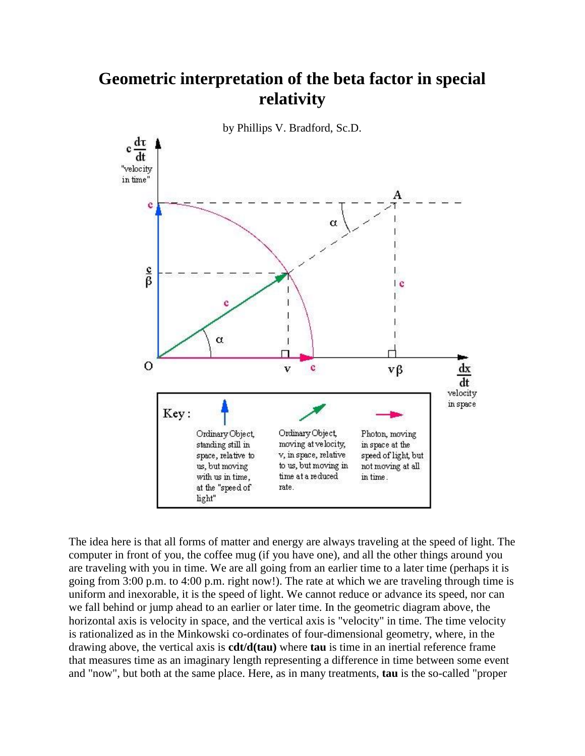## **Geometric interpretation of the beta factor in special relativity**



The idea here is that all forms of matter and energy are always traveling at the speed of light. The computer in front of you, the coffee mug (if you have one), and all the other things around you are traveling with you in time. We are all going from an earlier time to a later time (perhaps it is going from 3:00 p.m. to 4:00 p.m. right now!). The rate at which we are traveling through time is uniform and inexorable, it is the speed of light. We cannot reduce or advance its speed, nor can we fall behind or jump ahead to an earlier or later time. In the geometric diagram above, the horizontal axis is velocity in space, and the vertical axis is "velocity" in time. The time velocity is rationalized as in the Minkowski co-ordinates of four-dimensional geometry, where, in the drawing above, the vertical axis is **cdt/d(tau)** where **tau** is time in an inertial reference frame that measures time as an imaginary length representing a difference in time between some event and "now", but both at the same place. Here, as in many treatments, **tau** is the so-called "proper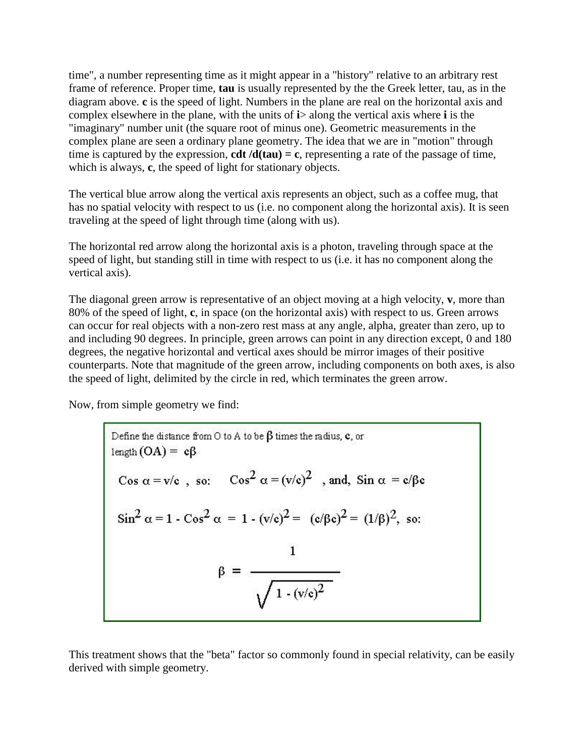time", a number representing time as it might appear in a "history" relative to an arbitrary rest frame of reference. Proper time, **tau** is usually represented by the the Greek letter, tau, as in the diagram above. **c** is the speed of light. Numbers in the plane are real on the horizontal axis and complex elsewhere in the plane, with the units of **i**> along the vertical axis where **i** is the "imaginary" number unit (the square root of minus one). Geometric measurements in the complex plane are seen a ordinary plane geometry. The idea that we are in "motion" through time is captured by the expression, **cdt**  $/d(tau) = c$ , representing a rate of the passage of time, which is always, **c**, the speed of light for stationary objects.

The vertical blue arrow along the vertical axis represents an object, such as a coffee mug, that has no spatial velocity with respect to us (i.e. no component along the horizontal axis). It is seen traveling at the speed of light through time (along with us).

The horizontal red arrow along the horizontal axis is a photon, traveling through space at the speed of light, but standing still in time with respect to us (i.e. it has no component along the vertical axis).

The diagonal green arrow is representative of an object moving at a high velocity, **v**, more than 80% of the speed of light, **c**, in space (on the horizontal axis) with respect to us. Green arrows can occur for real objects with a non-zero rest mass at any angle, alpha, greater than zero, up to and including 90 degrees. In principle, green arrows can point in any direction except, 0 and 180 degrees, the negative horizontal and vertical axes should be mirror images of their positive counterparts. Note that magnitude of the green arrow, including components on both axes, is also the speed of light, delimited by the circle in red, which terminates the green arrow.

Now, from simple geometry we find:

Define the distance from 0 to A to be 
$$
\beta
$$
 times the radius, c, or  
\nlength (OA) = c $\beta$   
\nCos  $\alpha = v/c$ , so:  $Cos^2 \alpha = (v/c)^2$ , and, Sin  $\alpha = c/\beta c$   
\n $Sin^2 \alpha = 1 - Cos^2 \alpha = 1 - (v/c)^2 = (c/\beta c)^2 = (1/\beta)^2$ , so:  
\n $\beta = \frac{1}{\sqrt{1 - (v/c)^2}}$ 

This treatment shows that the "beta" factor so commonly found in special relativity, can be easily derived with simple geometry.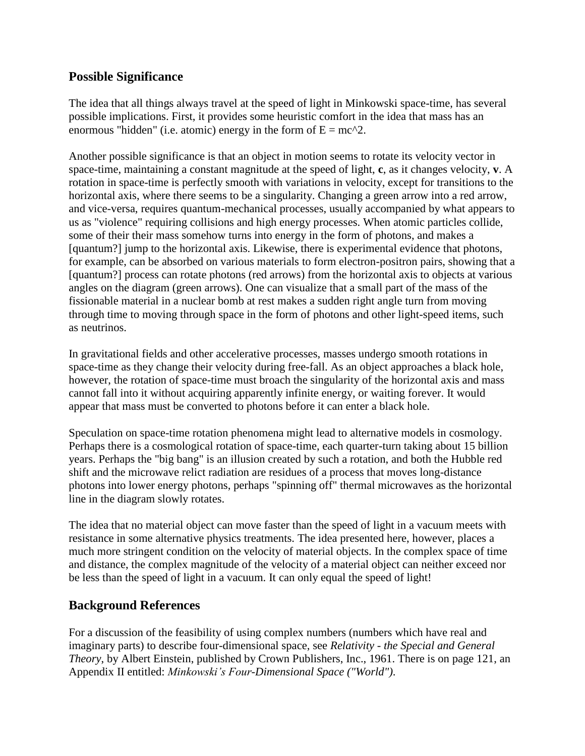## **Possible Significance**

The idea that all things always travel at the speed of light in Minkowski space-time, has several possible implications. First, it provides some heuristic comfort in the idea that mass has an enormous "hidden" (i.e. atomic) energy in the form of  $E = mc^2$ .

Another possible significance is that an object in motion seems to rotate its velocity vector in space-time, maintaining a constant magnitude at the speed of light, **c**, as it changes velocity, **v**. A rotation in space-time is perfectly smooth with variations in velocity, except for transitions to the horizontal axis, where there seems to be a singularity. Changing a green arrow into a red arrow, and vice-versa, requires quantum-mechanical processes, usually accompanied by what appears to us as "violence" requiring collisions and high energy processes. When atomic particles collide, some of their their mass somehow turns into energy in the form of photons, and makes a [quantum?] jump to the horizontal axis. Likewise, there is experimental evidence that photons, for example, can be absorbed on various materials to form electron-positron pairs, showing that a [quantum?] process can rotate photons (red arrows) from the horizontal axis to objects at various angles on the diagram (green arrows). One can visualize that a small part of the mass of the fissionable material in a nuclear bomb at rest makes a sudden right angle turn from moving through time to moving through space in the form of photons and other light-speed items, such as neutrinos.

In gravitational fields and other accelerative processes, masses undergo smooth rotations in space-time as they change their velocity during free-fall. As an object approaches a black hole, however, the rotation of space-time must broach the singularity of the horizontal axis and mass cannot fall into it without acquiring apparently infinite energy, or waiting forever. It would appear that mass must be converted to photons before it can enter a black hole.

Speculation on space-time rotation phenomena might lead to alternative models in cosmology. Perhaps there is a cosmological rotation of space-time, each quarter-turn taking about 15 billion years. Perhaps the "big bang" is an illusion created by such a rotation, and both the Hubble red shift and the microwave relict radiation are residues of a process that moves long-distance photons into lower energy photons, perhaps "spinning off" thermal microwaves as the horizontal line in the diagram slowly rotates.

The idea that no material object can move faster than the speed of light in a vacuum meets with resistance in some alternative physics treatments. The idea presented here, however, places a much more stringent condition on the velocity of material objects. In the complex space of time and distance, the complex magnitude of the velocity of a material object can neither exceed nor be less than the speed of light in a vacuum. It can only equal the speed of light!

## **Background References**

For a discussion of the feasibility of using complex numbers (numbers which have real and imaginary parts) to describe four-dimensional space, see *Relativity - the Special and General Theory*, by Albert Einstein, published by Crown Publishers, Inc., 1961. There is on page 121, an Appendix II entitled: *Minkowski's Four-Dimensional Space ("World")*.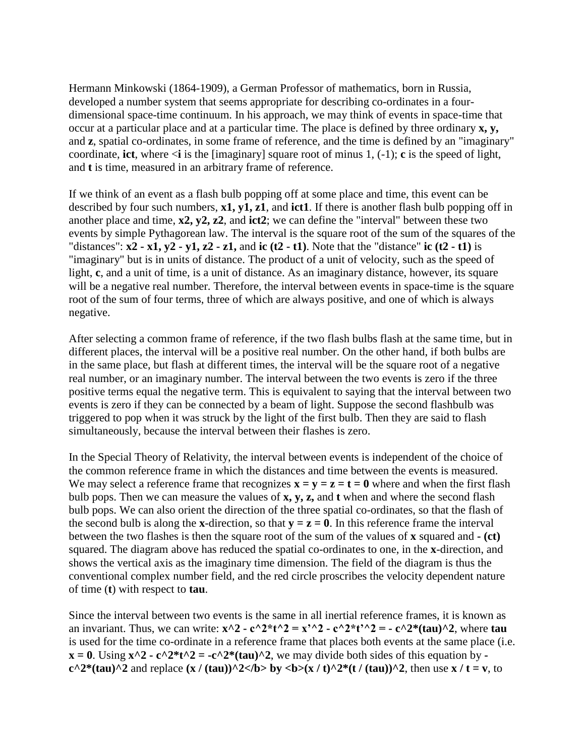Hermann Minkowski (1864-1909), a German Professor of mathematics, born in Russia, developed a number system that seems appropriate for describing co-ordinates in a fourdimensional space-time continuum. In his approach, we may think of events in space-time that occur at a particular place and at a particular time. The place is defined by three ordinary **x, y,** and **z**, spatial co-ordinates, in some frame of reference, and the time is defined by an "imaginary" coordinate, **ict**, where  $\leq i$  is the [imaginary] square root of minus 1, (-1); **c** is the speed of light, and **t** is time, measured in an arbitrary frame of reference.

If we think of an event as a flash bulb popping off at some place and time, this event can be described by four such numbers, **x1, y1, z1**, and **ict1**. If there is another flash bulb popping off in another place and time, **x2, y2, z2**, and **ict2**; we can define the "interval" between these two events by simple Pythagorean law. The interval is the square root of the sum of the squares of the "distances":  $x^2 - x^1$ ,  $y^2 - y^1$ ,  $z^2 - z^1$ , and **ic** (t2 - t1). Note that the "distance" **ic** (t2 - t1) is "imaginary" but is in units of distance. The product of a unit of velocity, such as the speed of light, **c**, and a unit of time, is a unit of distance. As an imaginary distance, however, its square will be a negative real number. Therefore, the interval between events in space-time is the square root of the sum of four terms, three of which are always positive, and one of which is always negative.

After selecting a common frame of reference, if the two flash bulbs flash at the same time, but in different places, the interval will be a positive real number. On the other hand, if both bulbs are in the same place, but flash at different times, the interval will be the square root of a negative real number, or an imaginary number. The interval between the two events is zero if the three positive terms equal the negative term. This is equivalent to saying that the interval between two events is zero if they can be connected by a beam of light. Suppose the second flashbulb was triggered to pop when it was struck by the light of the first bulb. Then they are said to flash simultaneously, because the interval between their flashes is zero.

In the Special Theory of Relativity, the interval between events is independent of the choice of the common reference frame in which the distances and time between the events is measured. We may select a reference frame that recognizes  $\mathbf{x} = \mathbf{v} = \mathbf{z} = \mathbf{t} = \mathbf{0}$  where and when the first flash bulb pops. Then we can measure the values of **x, y, z,** and **t** when and where the second flash bulb pops. We can also orient the direction of the three spatial co-ordinates, so that the flash of the second bulb is along the **x**-direction, so that  $y = z = 0$ . In this reference frame the interval between the two flashes is then the square root of the sum of the values of **x** squared and **- (ct)** squared. The diagram above has reduced the spatial co-ordinates to one, in the **x**-direction, and shows the vertical axis as the imaginary time dimension. The field of the diagram is thus the conventional complex number field, and the red circle proscribes the velocity dependent nature of time (**t**) with respect to **tau**.

Since the interval between two events is the same in all inertial reference frames, it is known as an invariant. Thus, we can write:  $\mathbf{x}^2 - \mathbf{c}^2 + \mathbf{c}^2 - \mathbf{x}^2 - \mathbf{c}^2 + \mathbf{c}^2 + \mathbf{c}^2 + \mathbf{c}^2 + \mathbf{c}^2 + \mathbf{c}^2 + \mathbf{c}^2 + \mathbf{c}^2 + \mathbf{c}^2 + \mathbf{c}^2$ is used for the time co-ordinate in a reference frame that places both events at the same place (i.e.  $x = 0$ . Using  $x^2 - c^2 + t^2 = -c^2 + (tau)^2$ , we may divide both sides of this equation by  $\overline{z}$  $c^2$ <sup>\*</sup>(tau)<sup>^2</sup> and replace  $(x / (tau))$ <sup>^2</sup>  $\lt$ /b> by  $\lt b$   $\lt$  b> $(x / t)$ <sup>^2\*</sup>(t / (tau))<sup>^2</sup>, then use **x** / t = v, to